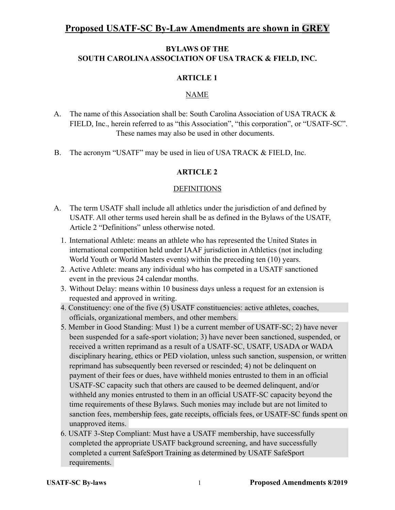# **Proposed USATF-SC By-Law Amendments are shown in GREY**

### **BYLAWS OF THE SOUTH CAROLINA ASSOCIATION OF USA TRACK & FIELD, INC.**

#### **ARTICLE 1**

### NAME

- A. The name of this Association shall be: South Carolina Association of USA TRACK & FIELD, Inc., herein referred to as "this Association", "this corporation", or "USATF-SC". These names may also be used in other documents.
- B. The acronym "USATF" may be used in lieu of USA TRACK & FIELD, Inc.

### **ARTICLE 2**

#### **DEFINITIONS**

- A. The term USATF shall include all athletics under the jurisdiction of and defined by USATF. All other terms used herein shall be as defined in the Bylaws of the USATF, Article 2 "Definitions" unless otherwise noted.
	- 1. International Athlete: means an athlete who has represented the United States in international competition held under IAAF jurisdiction in Athletics (not including World Youth or World Masters events) within the preceding ten (10) years.
	- 2. Active Athlete: means any individual who has competed in a USATF sanctioned event in the previous 24 calendar months.
	- 3. Without Delay: means within 10 business days unless a request for an extension is requested and approved in writing.
	- 4. Constituency: one of the five (5) USATF constituencies: active athletes, coaches, officials, organizational members, and other members.
	- 5. Member in Good Standing: Must 1) be a current member of USATF-SC; 2) have never been suspended for a safe-sport violation; 3) have never been sanctioned, suspended, or received a written reprimand as a result of a USATF-SC, USATF, USADA or WADA disciplinary hearing, ethics or PED violation, unless such sanction, suspension, or written reprimand has subsequently been reversed or rescinded; 4) not be delinquent on payment of their fees or dues, have withheld monies entrusted to them in an official USATF-SC capacity such that others are caused to be deemed delinquent, and/or withheld any monies entrusted to them in an official USATF-SC capacity beyond the time requirements of these Bylaws. Such monies may include but are not limited to sanction fees, membership fees, gate receipts, officials fees, or USATF-SC funds spent on unapproved items.
	- 6. USATF 3-Step Compliant: Must have a USATF membership, have successfully completed the appropriate USATF background screening, and have successfully completed a current SafeSport Training as determined by USATF SafeSport requirements.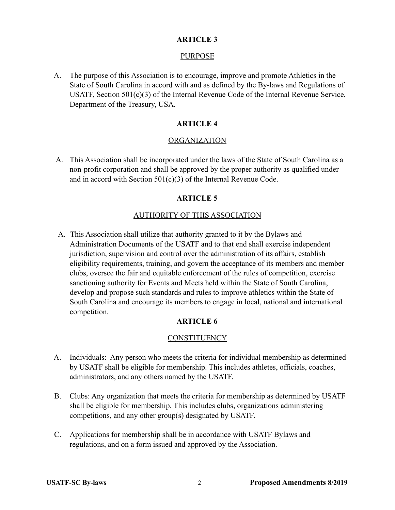#### PURPOSE

 A. The purpose of this Association is to encourage, improve and promote Athletics in the State of South Carolina in accord with and as defined by the By-laws and Regulations of USATF, Section 501(c)(3) of the Internal Revenue Code of the Internal Revenue Service, Department of the Treasury, USA.

#### **ARTICLE 4**

#### ORGANIZATION

 A. This Association shall be incorporated under the laws of the State of South Carolina as a non-profit corporation and shall be approved by the proper authority as qualified under and in accord with Section 501(c)(3) of the Internal Revenue Code.

#### **ARTICLE 5**

#### AUTHORITY OF THIS ASSOCIATION

A. This Association shall utilize that authority granted to it by the Bylaws and Administration Documents of the USATF and to that end shall exercise independent jurisdiction, supervision and control over the administration of its affairs, establish eligibility requirements, training, and govern the acceptance of its members and member clubs, oversee the fair and equitable enforcement of the rules of competition, exercise sanctioning authority for Events and Meets held within the State of South Carolina, develop and propose such standards and rules to improve athletics within the State of South Carolina and encourage its members to engage in local, national and international competition.

#### **ARTICLE 6**

#### **CONSTITUENCY**

- A. Individuals: Any person who meets the criteria for individual membership as determined by USATF shall be eligible for membership. This includes athletes, officials, coaches, administrators, and any others named by the USATF.
- B. Clubs: Any organization that meets the criteria for membership as determined by USATF shall be eligible for membership. This includes clubs, organizations administering competitions, and any other group(s) designated by USATF.
- C. Applications for membership shall be in accordance with USATF Bylaws and regulations, and on a form issued and approved by the Association.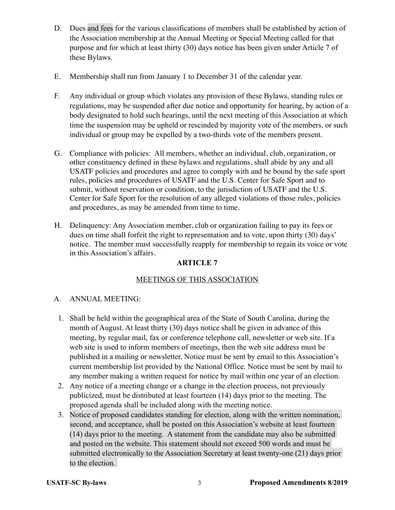- D. Dues and fees for the various classifications of members shall be established by action of the Association membership at the Annual Meeting or Special Meeting called for that purpose and for which at least thirty (30) days notice has been given under Article 7 of these Bylaws.
- E. Membership shall run from January 1 to December 31 of the calendar year.
- F.Any individual or group which violates any provision of these Bylaws, standing rules or regulations, may be suspended after due notice and opportunity for hearing, by action of a body designated to hold such hearings, until the next meeting of this Association at which time the suspension may be upheld or rescinded by majority vote of the members, or such individual or group may be expelled by a two-thirds vote of the members present.
- G. Compliance with policies: All members, whether an individual, club, organization, or other constituency defined in these bylaws and regulations, shall abide by any and all USATF policies and procedures and agree to comply with and be bound by the safe sport rules, policies and procedures of USATF and the U.S. Center for Safe Sport and to submit, without reservation or condition, to the jurisdiction of USATF and the U.S. Center for Safe Sport for the resolution of any alleged violations of those rules, policies and procedures, as may be amended from time to time.
- H. Delinquency: Any Association member, club or organization failing to pay its fees or dues on time shall forfeit the right to representation and to vote, upon thirty (30) days' notice. The member must successfully reapply for membership to regain its voice or vote in this Association's affairs.

#### MEETINGS OF THIS ASSOCIATION

#### A. ANNUAL MEETING:

- 1. Shall be held within the geographical area of the State of South Carolina, during the month of August. At least thirty (30) days notice shall be given in advance of this meeting, by regular mail, fax or conference telephone call, newsletter or web site. If a web site is used to inform members of meetings, then the web site address must be published in a mailing or newsletter. Notice must be sent by email to this Association's current membership list provided by the National Office. Notice must be sent by mail to any member making a written request for notice by mail within one year of an election.
- 2. Any notice of a meeting change or a change in the election process, not previously publicized, must be distributed at least fourteen (14) days prior to the meeting. The proposed agenda shall be included along with the meeting notice.
- 3. Notice of proposed candidates standing for election, along with the written nomination, second, and acceptance, shall be posted on this Association's website at least fourteen (14) days prior to the meeting. A statement from the candidate may also be submitted and posted on the website. This statement should not exceed 500 words and must be submitted electronically to the Association Secretary at least twenty-one (21) days prior to the election.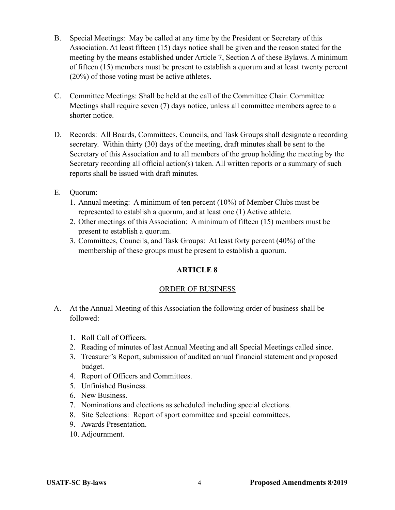- B. Special Meetings: May be called at any time by the President or Secretary of this Association. At least fifteen (15) days notice shall be given and the reason stated for the meeting by the means established under Article 7, Section A of these Bylaws. A minimum of fifteen (15) members must be present to establish a quorum and at least twenty percent (20%) of those voting must be active athletes.
- C. Committee Meetings: Shall be held at the call of the Committee Chair. Committee Meetings shall require seven (7) days notice, unless all committee members agree to a shorter notice.
- D. Records: All Boards, Committees, Councils, and Task Groups shall designate a recording secretary. Within thirty (30) days of the meeting, draft minutes shall be sent to the Secretary of this Association and to all members of the group holding the meeting by the Secretary recording all official action(s) taken. All written reports or a summary of such reports shall be issued with draft minutes.
- E. Quorum:
	- 1. Annual meeting: A minimum of ten percent (10%) of Member Clubs must be represented to establish a quorum, and at least one (1) Active athlete.
	- 2. Other meetings of this Association: A minimum of fifteen (15) members must be present to establish a quorum.
	- 3. Committees, Councils, and Task Groups: At least forty percent (40%) of the membership of these groups must be present to establish a quorum.

#### ORDER OF BUSINESS

- A. At the Annual Meeting of this Association the following order of business shall be followed:
	- 1. Roll Call of Officers.
	- 2. Reading of minutes of last Annual Meeting and all Special Meetings called since.
	- 3. Treasurer's Report, submission of audited annual financial statement and proposed budget.
	- 4. Report of Officers and Committees.
	- 5. Unfinished Business.
	- 6. New Business.
	- 7. Nominations and elections as scheduled including special elections.
	- 8. Site Selections: Report of sport committee and special committees.
	- 9. Awards Presentation.
	- 10. Adjournment.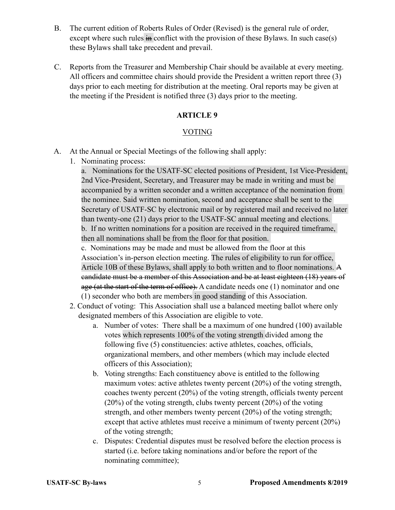- B. The current edition of Roberts Rules of Order (Revised) is the general rule of order, except where such rules in conflict with the provision of these Bylaws. In such case(s) these Bylaws shall take precedent and prevail.
- C. Reports from the Treasurer and Membership Chair should be available at every meeting. All officers and committee chairs should provide the President a written report three (3) days prior to each meeting for distribution at the meeting. Oral reports may be given at the meeting if the President is notified three (3) days prior to the meeting.

#### VOTING

- A. At the Annual or Special Meetings of the following shall apply:
	- 1. Nominating process:

a. Nominations for the USATF-SC elected positions of President, 1st Vice-President, 2nd Vice-President, Secretary, and Treasurer may be made in writing and must be accompanied by a written seconder and a written acceptance of the nomination from the nominee. Said written nomination, second and acceptance shall be sent to the Secretary of USATF-SC by electronic mail or by registered mail and received no later than twenty-one (21) days prior to the USATF-SC annual meeting and elections. b. If no written nominations for a position are received in the required timeframe, then all nominations shall be from the floor for that position.

c. Nominations may be made and must be allowed from the floor at this Association's in-person election meeting. The rules of eligibility to run for office, Article 10B of these Bylaws, shall apply to both written and to floor nominations. A candidate must be a member of this Association and be at least eighteen (18) years of age (at the start of the term of office). A candidate needs one (1) nominator and one (1) seconder who both are members in good standing of this Association.

- 2. Conduct of voting: This Association shall use a balanced meeting ballot where only designated members of this Association are eligible to vote.
	- a. Number of votes: There shall be a maximum of one hundred (100) available votes which represents 100% of the voting strength divided among the following five (5) constituencies: active athletes, coaches, officials, organizational members, and other members (which may include elected officers of this Association);
	- b. Voting strengths: Each constituency above is entitled to the following maximum votes: active athletes twenty percent (20%) of the voting strength, coaches twenty percent (20%) of the voting strength, officials twenty percent (20%) of the voting strength, clubs twenty percent (20%) of the voting strength, and other members twenty percent (20%) of the voting strength; except that active athletes must receive a minimum of twenty percent (20%) of the voting strength;
	- c. Disputes: Credential disputes must be resolved before the election process is started (i.e. before taking nominations and/or before the report of the nominating committee);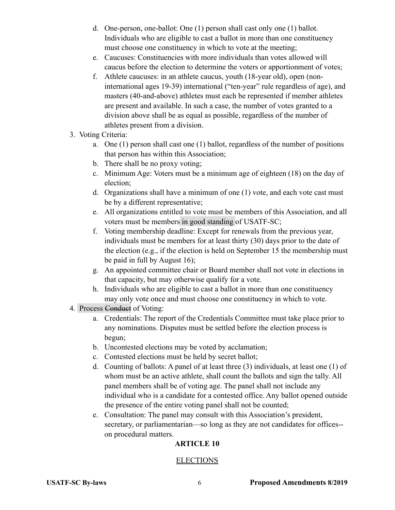- d. One-person, one-ballot: One (1) person shall cast only one (1) ballot. Individuals who are eligible to cast a ballot in more than one constituency must choose one constituency in which to vote at the meeting;
- e. Caucuses: Constituencies with more individuals than votes allowed will caucus before the election to determine the voters or apportionment of votes;
- f. Athlete caucuses: in an athlete caucus, youth (18-year old), open (noninternational ages 19-39) international ("ten-year" rule regardless of age), and masters (40-and-above) athletes must each be represented if member athletes are present and available. In such a case, the number of votes granted to a division above shall be as equal as possible, regardless of the number of athletes present from a division.
- 3. Voting Criteria:
	- a. One (1) person shall cast one (1) ballot, regardless of the number of positions that person has within this Association;
	- b. There shall be no proxy voting;
	- c. Minimum Age: Voters must be a minimum age of eighteen (18) on the day of election;
	- d. Organizations shall have a minimum of one (1) vote, and each vote cast must be by a different representative;
	- e. All organizations entitled to vote must be members of this Association, and all voters must be members in good standing of USATF-SC;
	- f. Voting membership deadline: Except for renewals from the previous year, individuals must be members for at least thirty (30) days prior to the date of the election (e.g., if the election is held on September 15 the membership must be paid in full by August 16);
	- g. An appointed committee chair or Board member shall not vote in elections in that capacity, but may otherwise qualify for a vote.
	- h. Individuals who are eligible to cast a ballot in more than one constituency may only vote once and must choose one constituency in which to vote.
- 4. Process Conduct of Voting:
	- a. Credentials: The report of the Credentials Committee must take place prior to any nominations. Disputes must be settled before the election process is begun;
	- b. Uncontested elections may be voted by acclamation;
	- c. Contested elections must be held by secret ballot;
	- d. Counting of ballots: A panel of at least three (3) individuals, at least one (1) of whom must be an active athlete, shall count the ballots and sign the tally. All panel members shall be of voting age. The panel shall not include any individual who is a candidate for a contested office. Any ballot opened outside the presence of the entire voting panel shall not be counted;
	- e. Consultation: The panel may consult with this Association's president, secretary, or parliamentarian—so long as they are not candidates for offices- on procedural matters.

#### ELECTIONS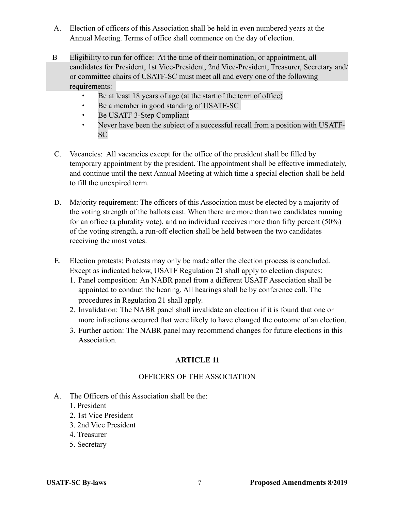- A. Election of officers of this Association shall be held in even numbered years at the Annual Meeting. Terms of office shall commence on the day of election.
- B Eligibility to run for office: At the time of their nomination, or appointment, all candidates for President, 1st Vice-President, 2nd Vice-President, Treasurer, Secretary and/ or committee chairs of USATF-SC must meet all and every one of the following requirements:
	- Be at least 18 years of age (at the start of the term of office)
	- Be a member in good standing of USATF-SC
	- Be USATF 3-Step Compliant
	- Never have been the subject of a successful recall from a position with USATF-SC
- C. Vacancies: All vacancies except for the office of the president shall be filled by temporary appointment by the president. The appointment shall be effective immediately, and continue until the next Annual Meeting at which time a special election shall be held to fill the unexpired term.
- D. Majority requirement: The officers of this Association must be elected by a majority of the voting strength of the ballots cast. When there are more than two candidates running for an office (a plurality vote), and no individual receives more than fifty percent (50%) of the voting strength, a run-off election shall be held between the two candidates receiving the most votes.
- E. Election protests: Protests may only be made after the election process is concluded. Except as indicated below, USATF Regulation 21 shall apply to election disputes:
	- 1. Panel composition: An NABR panel from a different USATF Association shall be appointed to conduct the hearing. All hearings shall be by conference call. The procedures in Regulation 21 shall apply.
	- 2. Invalidation: The NABR panel shall invalidate an election if it is found that one or more infractions occurred that were likely to have changed the outcome of an election.
	- 3. Further action: The NABR panel may recommend changes for future elections in this Association.

# OFFICERS OF THE ASSOCIATION

- A. The Officers of this Association shall be the:
	- 1. President
	- 2. 1st Vice President
	- 3. 2nd Vice President
	- 4. Treasurer
	- 5. Secretary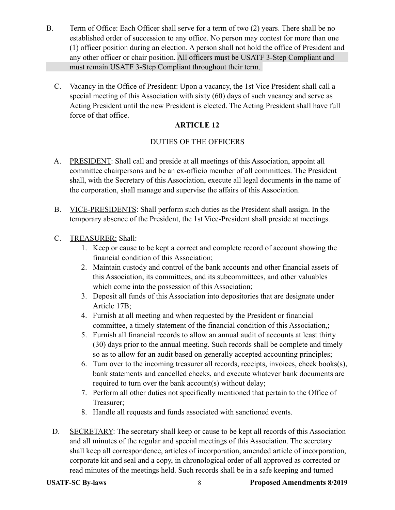- B. Term of Office: Each Officer shall serve for a term of two (2) years. There shall be no established order of succession to any office. No person may contest for more than one (1) officer position during an election. A person shall not hold the office of President and any other officer or chair position. All officers must be USATF 3-Step Compliant and must remain USATF 3-Step Compliant throughout their term.
	- C. Vacancy in the Office of President: Upon a vacancy, the 1st Vice President shall call a special meeting of this Association with sixty (60) days of such vacancy and serve as Acting President until the new President is elected. The Acting President shall have full force of that office.

# DUTIES OF THE OFFICERS

- A. PRESIDENT: Shall call and preside at all meetings of this Association, appoint all committee chairpersons and be an ex-officio member of all committees. The President shall, with the Secretary of this Association, execute all legal documents in the name of the corporation, shall manage and supervise the affairs of this Association.
- B. VICE-PRESIDENTS: Shall perform such duties as the President shall assign. In the temporary absence of the President, the 1st Vice-President shall preside at meetings.
- C. TREASURER: Shall:
	- 1. Keep or cause to be kept a correct and complete record of account showing the financial condition of this Association;
	- 2. Maintain custody and control of the bank accounts and other financial assets of this Association, its committees, and its subcommittees, and other valuables which come into the possession of this Association;
	- 3. Deposit all funds of this Association into depositories that are designate under Article 17B;
	- 4. Furnish at all meeting and when requested by the President or financial committee, a timely statement of the financial condition of this Association,;
	- 5. Furnish all financial records to allow an annual audit of accounts at least thirty (30) days prior to the annual meeting. Such records shall be complete and timely so as to allow for an audit based on generally accepted accounting principles;
	- 6. Turn over to the incoming treasurer all records, receipts, invoices, check books(s), bank statements and cancelled checks, and execute whatever bank documents are required to turn over the bank account(s) without delay;
	- 7. Perform all other duties not specifically mentioned that pertain to the Office of Treasurer;
	- 8. Handle all requests and funds associated with sanctioned events.
- D. SECRETARY: The secretary shall keep or cause to be kept all records of this Association and all minutes of the regular and special meetings of this Association. The secretary shall keep all correspondence, articles of incorporation, amended article of incorporation, corporate kit and seal and a copy, in chronological order of all approved as corrected or read minutes of the meetings held. Such records shall be in a safe keeping and turned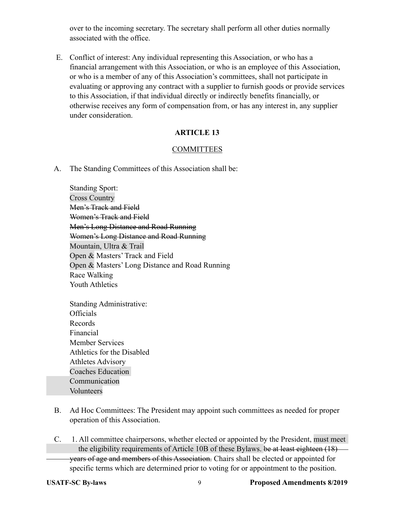over to the incoming secretary. The secretary shall perform all other duties normally associated with the office.

 E. Conflict of interest: Any individual representing this Association, or who has a financial arrangement with this Association, or who is an employee of this Association, or who is a member of any of this Association's committees, shall not participate in evaluating or approving any contract with a supplier to furnish goods or provide services to this Association, if that individual directly or indirectly benefits financially, or otherwise receives any form of compensation from, or has any interest in, any supplier under consideration.

#### **ARTICLE 13**

#### **COMMITTEES**

A. The Standing Committees of this Association shall be:

 Standing Sport: Cross Country Men's Track and Field Women's Track and Field Men's Long Distance and Road Running Women's Long Distance and Road Running Mountain, Ultra & Trail Open & Masters' Track and Field Open & Masters' Long Distance and Road Running Race Walking Youth Athletics

 Standing Administrative: Officials Records Financial Member Services Athletics for the Disabled Athletes Advisory Coaches Education Communication Volunteers

- B. Ad Hoc Committees: The President may appoint such committees as needed for proper operation of this Association.
- C. 1. All committee chairpersons, whether elected or appointed by the President, must meet the eligibility requirements of Article 10B of these Bylaws. be at least eighteen (18) years of age and members of this Association. Chairs shall be elected or appointed for specific terms which are determined prior to voting for or appointment to the position.
-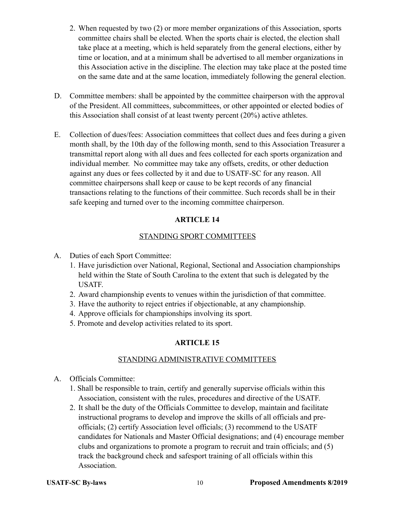- 2. When requested by two (2) or more member organizations of this Association, sports committee chairs shall be elected. When the sports chair is elected, the election shall take place at a meeting, which is held separately from the general elections, either by time or location, and at a minimum shall be advertised to all member organizations in this Association active in the discipline. The election may take place at the posted time on the same date and at the same location, immediately following the general election.
- D. Committee members: shall be appointed by the committee chairperson with the approval of the President. All committees, subcommittees, or other appointed or elected bodies of this Association shall consist of at least twenty percent (20%) active athletes.
- E. Collection of dues/fees: Association committees that collect dues and fees during a given month shall, by the 10th day of the following month, send to this Association Treasurer a transmittal report along with all dues and fees collected for each sports organization and individual member. No committee may take any offsets, credits, or other deduction against any dues or fees collected by it and due to USATF-SC for any reason. All committee chairpersons shall keep or cause to be kept records of any financial transactions relating to the functions of their committee. Such records shall be in their safe keeping and turned over to the incoming committee chairperson.

#### STANDING SPORT COMMITTEES

#### A. Duties of each Sport Committee:

- 1. Have jurisdiction over National, Regional, Sectional and Association championships held within the State of South Carolina to the extent that such is delegated by the USATF.
- 2. Award championship events to venues within the jurisdiction of that committee.
- 3. Have the authority to reject entries if objectionable, at any championship.
- 4. Approve officials for championships involving its sport.
- 5. Promote and develop activities related to its sport.

#### **ARTICLE 15**

#### STANDING ADMINISTRATIVE COMMITTEES

- A. Officials Committee:
	- 1. Shall be responsible to train, certify and generally supervise officials within this Association, consistent with the rules, procedures and directive of the USATF.
	- 2. It shall be the duty of the Officials Committee to develop, maintain and facilitate instructional programs to develop and improve the skills of all officials and pre officials; (2) certify Association level officials; (3) recommend to the USATF candidates for Nationals and Master Official designations; and (4) encourage member clubs and organizations to promote a program to recruit and train officials; and (5) track the background check and safesport training of all officials within this Association.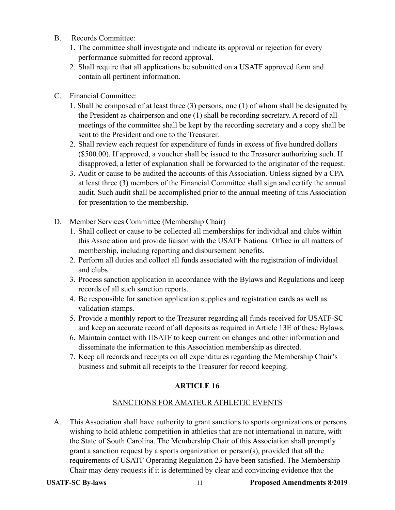- B. Records Committee:
	- 1. The committee shall investigate and indicate its approval or rejection for every performance submitted for record approval.
	- 2. Shall require that all applications be submitted on a USATF approved form and contain all pertinent information.
- C. Financial Committee:
	- 1. Shall be composed of at least three (3) persons, one (1) of whom shall be designated by the President as chairperson and one (1) shall be recording secretary. A record of all meetings of the committee shall be kept by the recording secretary and a copy shall be sent to the President and one to the Treasurer.
	- 2. Shall review each request for expenditure of funds in excess of five hundred dollars (\$500.00). If approved, a voucher shall be issued to the Treasurer authorizing such. If disapproved, a letter of explanation shall be forwarded to the originator of the request.
	- 3. Audit or cause to be audited the accounts of this Association. Unless signed by a CPA at least three (3) members of the Financial Committee shall sign and certify the annual audit. Such audit shall be accomplished prior to the annual meeting of this Association for presentation to the membership.
- D. Member Services Committee (Membership Chair)
	- 1. Shall collect or cause to be collected all memberships for individual and clubs within this Association and provide liaison with the USATF National Office in all matters of membership, including reporting and disbursement benefits.
	- 2. Perform all duties and collect all funds associated with the registration of individual and clubs.
	- 3. Process sanction application in accordance with the Bylaws and Regulations and keep records of all such sanction reports.
	- 4. Be responsible for sanction application supplies and registration cards as well as validation stamps.
	- 5. Provide a monthly report to the Treasurer regarding all funds received for USATF-SC and keep an accurate record of all deposits as required in Article 13E of these Bylaws.
	- 6. Maintain contact with USATF to keep current on changes and other information and disseminate the information to this Association membership as directed.
	- 7. Keep all records and receipts on all expenditures regarding the Membership Chair's business and submit all receipts to the Treasurer for record keeping.

# SANCTIONS FOR AMATEUR ATHLETIC EVENTS

 A. This Association shall have authority to grant sanctions to sports organizations or persons wishing to hold athletic competition in athletics that are not international in nature, with the State of South Carolina. The Membership Chair of this Association shall promptly grant a sanction request by a sports organization or person(s), provided that all the requirements of USATF Operating Regulation 23 have been satisfied. The Membership Chair may deny requests if it is determined by clear and convincing evidence that the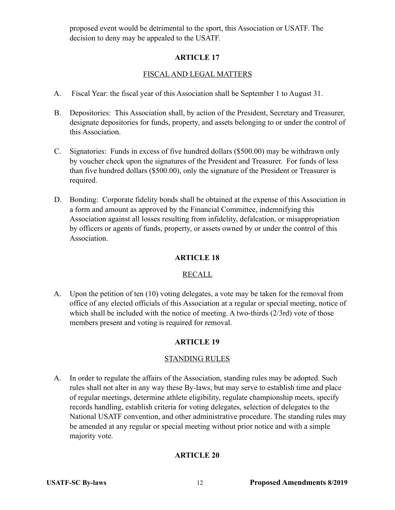proposed event would be detrimental to the sport, this Association or USATF. The decision to deny may be appealed to the USATF.

### **ARTICLE 17**

# FISCAL AND LEGAL MATTERS

- A. Fiscal Year: the fiscal year of this Association shall be September 1 to August 31.
- B. Depositories: This Association shall, by action of the President, Secretary and Treasurer, designate depositories for funds, property, and assets belonging to or under the control of this Association.
- C. Signatories: Funds in excess of five hundred dollars (\$500.00) may be withdrawn only by voucher check upon the signatures of the President and Treasurer. For funds of less than five hundred dollars (\$500.00), only the signature of the President or Treasurer is required.
- D. Bonding: Corporate fidelity bonds shall be obtained at the expense of this Association in a form and amount as approved by the Financial Committee, indemnifying this Association against all losses resulting from infidelity, defalcation, or misappropriation by officers or agents of funds, property, or assets owned by or under the control of this Association.

# **ARTICLE 18**

#### RECALL

 A. Upon the petition of ten (10) voting delegates, a vote may be taken for the removal from office of any elected officials of this Association at a regular or special meeting, notice of which shall be included with the notice of meeting. A two-thirds (2/3rd) vote of those members present and voting is required for removal.

# **ARTICLE 19**

#### STANDING RULES

 A. In order to regulate the affairs of the Association, standing rules may be adopted. Such rules shall not alter in any way these By-laws, but may serve to establish time and place of regular meetings, determine athlete eligibility, regulate championship meets, specify records handling, establish criteria for voting delegates, selection of delegates to the National USATF convention, and other administrative procedure. The standing rules may be amended at any regular or special meeting without prior notice and with a simple majority vote.

# **ARTICLE 20**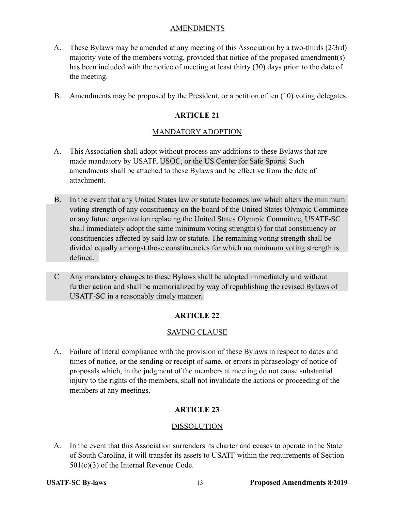#### **AMENDMENTS**

- A. These Bylaws may be amended at any meeting of this Association by a two-thirds (2/3rd) majority vote of the members voting, provided that notice of the proposed amendment(s) has been included with the notice of meeting at least thirty (30) days prior to the date of the meeting.
- B. Amendments may be proposed by the President, or a petition of ten (10) voting delegates.

# **ARTICLE 21**

### MANDATORY ADOPTION

- A. This Association shall adopt without process any additions to these Bylaws that are made mandatory by USATF, USOC, or the US Center for Safe Sports. Such amendments shall be attached to these Bylaws and be effective from the date of attachment.
- B. In the event that any United States law or statute becomes law which alters the minimum voting strength of any constituency on the board of the United States Olympic Committee or any future organization replacing the United States Olympic Committee, USATF-SC shall immediately adopt the same minimum voting strength(s) for that constituency or constituencies affected by said law or statute. The remaining voting strength shall be divided equally amongst those constituencies for which no minimum voting strength is defined.
- C Any mandatory changes to these Bylaws shall be adopted immediately and without further action and shall be memorialized by way of republishing the revised Bylaws of USATF-SC in a reasonably timely manner.

#### **ARTICLE 22**

#### SAVING CLAUSE

 A. Failure of literal compliance with the provision of these Bylaws in respect to dates and times of notice, or the sending or receipt of same, or errors in phraseology of notice of proposals which, in the judgment of the members at meeting do not cause substantial injury to the rights of the members, shall not invalidate the actions or proceeding of the members at any meetings.

# **ARTICLE 23**

#### DISSOLUTION

 A. In the event that this Association surrenders its charter and ceases to operate in the State of South Carolina, it will transfer its assets to USATF within the requirements of Section 501(c)(3) of the Internal Revenue Code.